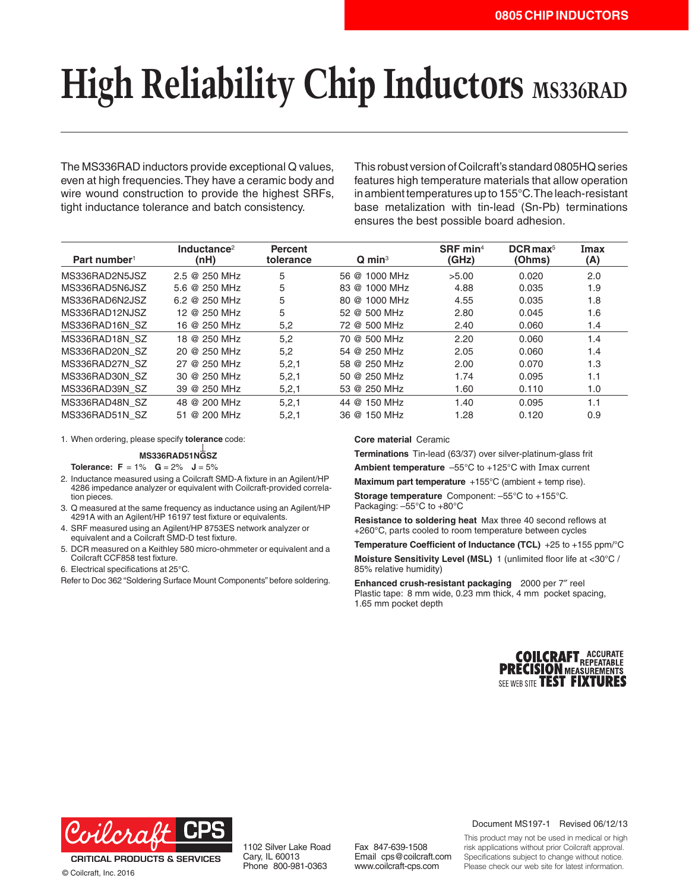## **High Reliability Chip Inductors** MS336RAD

The MS336RAD inductors provide exceptional Q values, even at high frequencies. They have a ceramic body and wire wound construction to provide the highest SRFs, tight inductance tolerance and batch consistency.

This robust version of Coilcraft's standard 0805HQ series features high temperature materials that allow operation in ambient temperatures up to 155°C. The leach-resistant base metalization with tin-lead (Sn-Pb) terminations ensures the best possible board adhesion.

| Part number <sup>1</sup> | Inductance <sup>2</sup><br>(nH) | <b>Percent</b><br>tolerance | $\mathbf Q$ min <sup>3</sup> | SRF min <sup>4</sup><br>(GHz) | $DCR$ max <sup>5</sup><br>(Ohms) | Imax<br>(A) |
|--------------------------|---------------------------------|-----------------------------|------------------------------|-------------------------------|----------------------------------|-------------|
| MS336RAD2N5JSZ           | 2.5 @ 250 MHz                   | 5                           | 56 @ 1000 MHz                | >5.00                         | 0.020                            | 2.0         |
| MS336RAD5N6JSZ           | 5.6 @ 250 MHz                   | 5                           | 83 @ 1000 MHz                | 4.88                          | 0.035                            | 1.9         |
| MS336RAD6N2JSZ           | 6.2 @ 250 MHz                   | 5                           | 80 @ 1000 MHz                | 4.55                          | 0.035                            | 1.8         |
| MS336RAD12NJSZ           | 12 @ 250 MHz                    | 5                           | 52 @ 500 MHz                 | 2.80                          | 0.045                            | 1.6         |
| MS336RAD16N SZ           | 16 @ 250 MHz                    | 5,2                         | 72 @ 500 MHz                 | 2.40                          | 0.060                            | 1.4         |
| MS336RAD18N SZ           | 18 @ 250 MHz                    | 5.2                         | 70 @ 500 MHz                 | 2.20                          | 0.060                            | 1.4         |
| MS336RAD20N SZ           | 20 @ 250 MHz                    | 5,2                         | 54 @ 250 MHz                 | 2.05                          | 0.060                            | 1.4         |
| MS336RAD27N SZ           | 27 @ 250 MHz                    | 5, 2, 1                     | 58 @ 250 MHz                 | 2.00                          | 0.070                            | 1.3         |
| MS336RAD30N SZ           | 30 @ 250 MHz                    | 5, 2, 1                     | 50 @ 250 MHz                 | 1.74                          | 0.095                            | 1.1         |
| MS336RAD39N SZ           | 39 @ 250 MHz                    | 5, 2, 1                     | 53 @ 250 MHz                 | 1.60                          | 0.110                            | 1.0         |
| MS336RAD48N SZ           | 48 @ 200 MHz                    | 5,2,1                       | 44 @ 150 MHz                 | 1.40                          | 0.095                            | 1.1         |
| MS336RAD51N SZ           | 51 @ 200 MHz                    | 5, 2, 1                     | 36 @ 150 MHz                 | 1.28                          | 0.120                            | 0.9         |

1. When ordering, please specify **tolerance** code:

**MS336RAD51NGSZ**

**Tolerance:**  $F = 1\%$  $G = 2\%$  $J = 5\%$ 

- 2. Inductance measured using a Coilcraft SMD-A fixture in an Agilent/HP 4286 impedance analyzer or equivalent with Coilcraft-provided correlation pieces.
- 3. Q measured at the same frequency as inductance using an Agilent/HP 4291A with an Agilent/HP 16197 test fixture or equivalents.
- 4. SRF measured using an Agilent/HP 8753ES network analyzer or equivalent and a Coilcraft SMD-D test fixture.
- 5. DCR measured on a Keithley 580 micro-ohmmeter or equivalent and a Coilcraft CCF858 test fixture.
- 6. Electrical specifications at 25°C.

Refer to Doc 362 "Soldering Surface Mount Components" before soldering.

## **Core material** Ceramic

**Terminations** Tin-lead (63/37) over silver-platinum-glass frit

**Ambient temperature** –55°C to +125°C with Imax current

**Maximum part temperature** +155°C (ambient + temp rise).

**Storage temperature** Component: –55°C to +155°C. Packaging: –55°C to +80°C

**Resistance to soldering heat** Max three 40 second reflows at +260°C, parts cooled to room temperature between cycles

**Temperature Coefficient of Inductance (TCL)** +25 to +155 ppm/°C

**Moisture Sensitivity Level (MSL)** 1 (unlimited floor life at <30°C / 85% relative humidity)

**Enhanced crush-resistant packaging** 2000 per 7″ reel Plastic tape: 8 mm wide, 0.23 mm thick, 4 mm pocket spacing, 1.65 mm pocket depth





© Coilcraft, Inc. 2016

1102 Silver Lake Road Cary, IL 60013 Phone 800-981-0363

Fax 847-639-1508 Email cps@coilcraft.com www.coilcraft-cps.com

Document MS197-1 Revised 06/12/13

This product may not be used in medical or high risk applications without prior Coilcraft approval. Specifications subject to change without notice. Please check our web site for latest information.